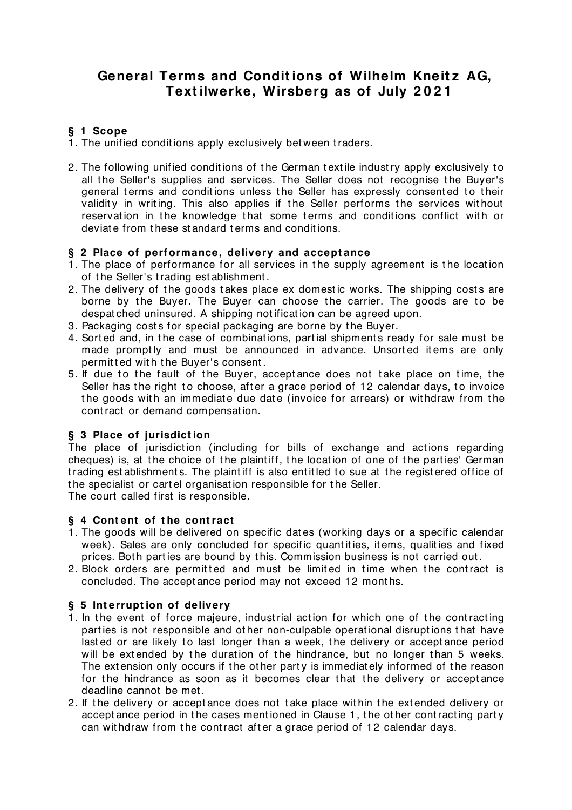# **General Terms and Condit ions of Wilhelm Kneit z AG, Text ilwerke, Wirsberg as of July 2 0 2 1**

# **§ 1 Scope**

- 1. The unified conditions apply exclusively between traders.
- 2. The following unified conditions of the German textile industry apply exclusively to all the Seller's supplies and services. The Seller does not recognise the Buyer's general terms and conditions unless the Seller has expressly consented to their validity in writing. This also applies if the Seller performs the services without reservation in the knowledge that some terms and conditions conflict with or deviat e from t hese st andard t erms and condit ions.

## **§ 2 Place of performance, delivery and accept ance**

- 1. The place of performance for all services in the supply agreement is the location of the Seller's trading est ablishment.
- 2. The delivery of the goods takes place ex domestic works. The shipping costs are borne by the Buyer. The Buyer can choose the carrier. The goods are to be despat ched uninsured. A shipping not ificat ion can be agreed upon.
- 3. Packaging costs for special packaging are borne by the Buyer.
- 4. Sorted and, in the case of combinations, partial shipments ready for sale must be made promptly and must be announced in advance. Unsorted items are only permitted with the Buyer's consent.
- 5. If due to the fault of the Buyer, acceptance does not take place on time, the Seller has the right to choose, after a grace period of 12 calendar days, to invoice the goods with an immediate due date (invoice for arrears) or withdraw from the cont ract or demand compensat ion.

# **§ 3 Place of jurisdict ion**

The place of jurisdiction (including for bills of exchange and actions regarding cheques) is, at the choice of the plaint iff, the location of one of the parties' German trading est ablishments. The plaint iff is also entitled to sue at the registered office of t he specialist or cart el organisat ion responsible for t he Seller. The court called first is responsible.

**§ 4 Cont ent of t he cont ract**

- 1. The goods will be delivered on specific dat es (working days or a specific calendar week). Sales are only concluded for specific quant it ies, it ems, qualit ies and fixed prices. Both parties are bound by this. Commission business is not carried out.
- 2. Block orders are permitted and must be limited in time when the contract is concluded. The accept ance period may not exceed 12 mont hs.

# **§ 5 Int errupt ion of delivery**

- 1. In the event of force majeure, industrial action for which one of the contracting part ies is not responsible and ot her non-culpable operat ional disrupt ions t hat have lasted or are likely to last longer than a week, the delivery or acceptance period will be extended by the duration of the hindrance, but no longer than 5 weeks. The extension only occurs if the other party is immediately informed of the reason for the hindrance as soon as it becomes clear that the delivery or acceptance deadline cannot be met .
- 2. If the delivery or acceptance does not take place within the extended delivery or accept ance period in the cases mentioned in Clause 1, the other contracting party can withdraw from the contract after a grace period of 12 calendar days.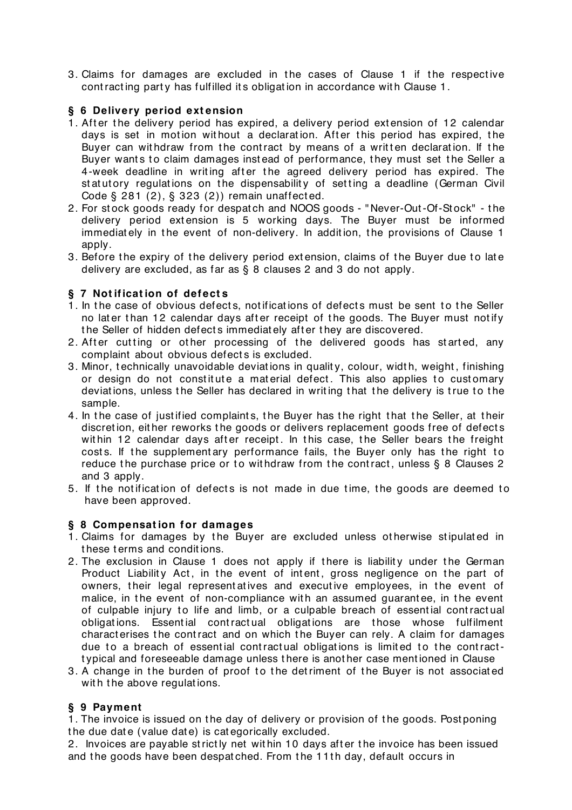3. Claims for damages are excluded in the cases of Clause 1 if the respective cont racting party has fulfilled its obligation in accordance with Clause 1.

## **§ 6 Delivery period ext ension**

- 1. After the delivery period has expired, a delivery period extension of 12 calendar days is set in motion without a declaration. After this period has expired, the Buyer can withdraw from the contract by means of a written declaration. If the Buyer wants to claim damages instead of performance, they must set the Seller a 4-week deadline in writing after the agreed delivery period has expired. The st at ut ory regulations on the dispensability of setting a deadline (German Civil Code § 281 (2), § 323 (2)) remain unaffect ed.
- 2. For st ock goods ready for despat ch and NOOS goods " Never-Out -Of-St ock" t he delivery period ext ension is 5 working days. The Buyer must be informed immediately in the event of non-delivery. In addition, the provisions of Clause 1 apply.
- 3. Before the expiry of the delivery period extension, claims of the Buyer due to late delivery are excluded, as far as § 8 clauses 2 and 3 do not apply.

## **§ 7 Not ificat ion of defect s**

- 1. In the case of obvious defects, notifications of defects must be sent to the Seller no later than 12 calendar days after receipt of the goods. The Buyer must notify the Seller of hidden defects immediately after they are discovered.
- 2. After cutting or other processing of the delivered goods has started, any complaint about obvious defect s is excluded.
- 3. Minor, technically unavoidable deviations in quality, colour, width, weight, finishing or design do not constitute a material defect. This also applies to customary deviations, unless the Seller has declared in writing that the delivery is true to the sample.
- 4. In the case of justified complaints, the Buyer has the right that the Seller, at their discretion, either reworks the goods or delivers replacement goods free of defects within 12 calendar days after receipt. In this case, the Seller bears the freight costs. If the supplementary performance fails, the Buyer only has the right to reduce the purchase price or to withdraw from the contract, unless  $\S$  8 Clauses 2 and 3 apply.
- 5. If the notification of defects is not made in due time, the goods are deemed to have been approved.

#### **§ 8 Compensat ion for damages**

- 1. Claims for damages by t he Buyer are excluded unless ot herwise st ipulat ed in t hese t erms and condit ions.
- 2. The exclusion in Clause 1 does not apply if there is liability under the German Product Liability Act, in the event of intent, gross negligence on the part of owners, their legal representatives and executive employees, in the event of malice, in the event of non-compliance with an assumed quarantee, in the event of culpable injury to life and limb, or a culpable breach of essential contractual obligat ions. Essent ial cont ract ual obligat ions are t hose whose fulfilment charact erises t he cont ract and on which t he Buyer can rely. A claim for damages due to a breach of essential contractual obligations is limited to the contractt ypical and foreseeable damage unless t here is anot her case ment ioned in Clause
- 3. A change in the burden of proof to the detriment of the Buyer is not associated with the above requilations.

#### **§ 9 Payment**

1. The invoice is issued on the day of delivery or provision of the goods. Postponing the due date (value date) is categorically excluded.

2. Invoices are payable st rict ly net wit hin 10 days aft er t he invoice has been issued and the goods have been despatched. From the 11th day, default occurs in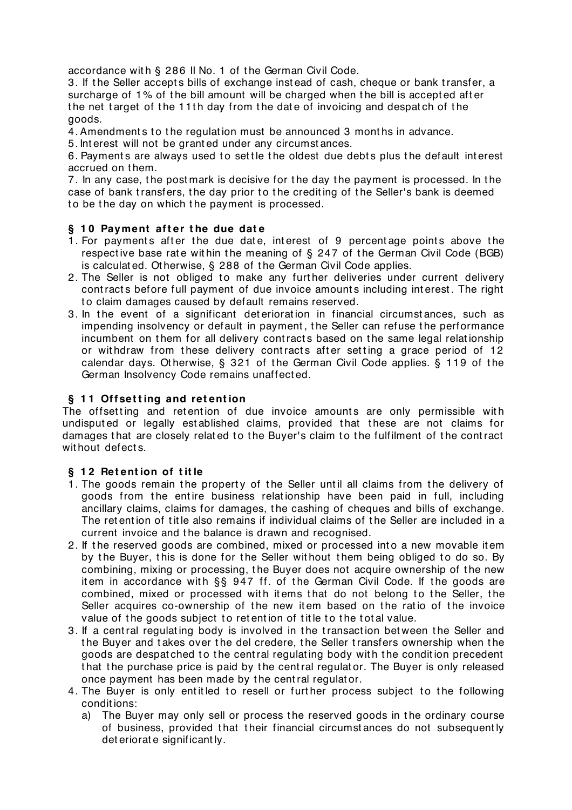accordance with § 286 II No. 1 of the German Civil Code.

3. If the Seller accepts bills of exchange instead of cash, cheque or bank transfer, a surcharge of 1% of the bill amount will be charged when the bill is accepted after the net target of the 11th day from the date of invoicing and despatch of the goods.

4. Amendments to the regulation must be announced 3 months in advance.

5. Int erest will not be grant ed under any circumst ances.

6. Payments are always used to settle the oldest due debts plus the default interest accrued on them.

7. In any case, t he post mark is decisive for t he day t he payment is processed. In t he case of bank transfers, the day prior to the crediting of the Seller's bank is deemed to be the day on which the payment is processed.

## **§ 1 0 Payment aft er t he due dat e**

- 1. For payments after the due date, interest of 9 percentage points above the respective base rate within the meaning of  $\S$  247 of the German Civil Code (BGB) is calculat ed. Ot herwise, § 288 of t he German Civil Code applies.
- 2. The Seller is not obliged to make any further deliveries under current delivery contracts before full payment of due invoice amounts including interest. The right to claim damages caused by default remains reserved.
- 3. In the event of a significant deterioration in financial circumstances, such as impending insolvency or default in payment , t he Seller can refuse t he performance incumbent on them for all delivery contracts based on the same legal relationship or withdraw from these delivery contracts after setting a grace period of 12 calendar days. Otherwise, § 321 of the German Civil Code applies. § 119 of the German Insolvency Code remains unaffect ed.

## **§ 1 1 Offset t ing and ret ent ion**

The offsetting and retention of due invoice amounts are only permissible with undisputed or legally established claims, provided that these are not claims for damages that are closely related to the Buyer's claim to the fulfilment of the contract without defects.

#### **§ 1 2 Ret ent ion of t it le**

- 1. The goods remain the property of the Seller until all claims from the delivery of goods from the entire business relationship have been paid in full, including ancillary claims, claims for damages, t he cashing of cheques and bills of exchange. The ret ention of title also remains if individual claims of the Seller are included in a current invoice and the balance is drawn and recognised.
- 2. If the reserved goods are combined, mixed or processed into a new movable item by the Buyer, this is done for the Seller without them being obliged to do so. By combining, mixing or processing, t he Buyer does not acquire ownership of t he new item in accordance with §§ 947 ff. of the German Civil Code. If the goods are combined, mixed or processed with items that do not belong to the Seller, the Seller acquires co-ownership of the new item based on the ratio of the invoice value of the goods subject to retention of title to the total value.
- 3. If a central regulating body is involved in the transaction between the Seller and the Buyer and takes over the del credere, the Seller transfers ownership when the goods are despat ched to the central regulating body with the condition precedent that the purchase price is paid by the central regulator. The Buyer is only released once payment has been made by t he cent ral regulat or.
- 4. The Buyer is only entitled to resell or further process subject to the following condit ions:
	- a) The Buyer may only sell or process t he reserved goods in t he ordinary course of business, provided that their financial circumstances do not subsequently det eriorat e significant ly.